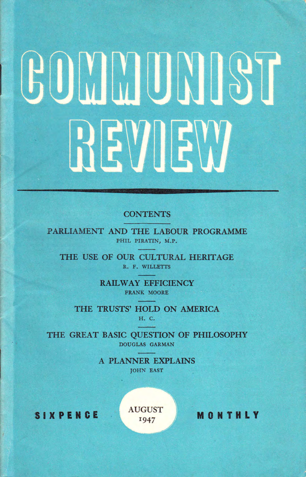# GOMMUNIST REVIEW

# **CONTENTS**

PARLIAMENT AND THE LABOUR PROGRAMME PHIL PIRATIN, M.P.

THE USE OF OUR CULTURAL HERITAGE R. F. WILLETTS

> RAILWAY EFFICIENCY FRANK MOORE

THE TRUSTS' HOLD ON AMERICA H. C.

THE GREAT BASIC QUESTION OF PHILOSOPHY DOUGLAS GARMAN

> A PLANNER EXPLAINS JoHN EAST

SIXPENCE  $A_{I947}^{AUGUST}$  MONTHLY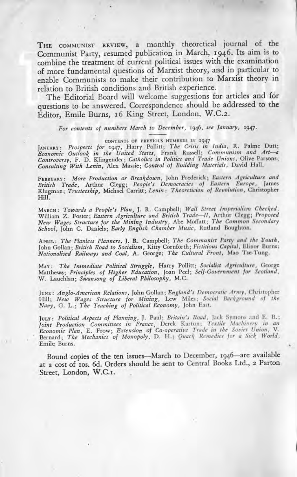THE COMMUNIST REVIEW, a monthly theoretical journal of the Communist Party, resumed publication in March, 1946. Its aim is to combine the treatment of current political issues with the examination of more fundamental questions of Marxist theory, and in particular to enable Communists to make their contribution to Marxist theory in relation to British conditions and British experience.

The Editorial Board will welcome suggestions for articles and for questions to be answered. Correspondence should be addressed to the Éditor, Emile Burns, 16 King Street, London, W.C.2.

For contents of numbers March to December, 1946, see January, 1947.

CONTENTS OF PREVIOUS NUMBERS IN 1947

JANUARY: Prospects for 1947, Harry Pollitt; The Crisis in India, R. Palme Dutt; Economic Outlook in the United States, Frank Russell; Communism and Art-a Controversy, F. D. Klingender; Catholics in Politics and Trade Unions, Olive Parsons; Consulting With Lenin, Alex Massie; Control of Building Materials, David Hall.

FEBRUARY: More Production or Breakdown, John Frederick; Eastern Agriculture and British Trade, Arthur Clegg; People's Democracies of Eastern Europe, James Klugman; Trusteeship, Michael Carritt; Lenin: Theoretician of Revolution, Christopher Hill.

MARCH: Towards a People's Plan, J. R. Campbell; Wall Street Imperialism Checked.<br>William Z. Foster; Eastern Agriculture and British Trade-II, Arthur Clegg; Proposed<br>New Wages Structure for the Mining Industry, Abe Moffatt;

APRIL: The Planless Planners, J. R. Campbell; The Communist Party and the Youth, John Gollan; British Road to Socialism, Kitty Cornforth; Fictitious Capital, Elinor Burns; Nationalised Railways and Coal, A. George; The Cultural Front, Mao Tse-Tung.

MAY: The Immediate Political Struggle, Harry Pollitt; Socialist Agriculture, George Matthews; Principles of Higher Education, Joan Peel; Self-Government for Scotland, W. Lauchlan; Swansong of Liberal Philosophy, M.C.

JUNE: Anglo-American Relations, John Gollan; England's Democratic Army, Christopher Hill; New Wages Structure for Mining, Lew Miles; Social Background of the Navy, G. L.; The Teaching of Political Economy, John East.

Juin: Political Aspects of Planning, J. Paul; Britain's Road, Jack Symons and E. B.;<br>Joint Production Committees in France, Derek Kartun; Textile Machinery in an<br>Economic Plan, E. Frow; Extension of Co-operative Trade in t Emile Burns.

Bound copies of the ten issues-March to December, 1946-are available at a cost of 10s. 6d. Orders should be sent to Central Books Ltd., 2 Parton Street, London, W.C.I.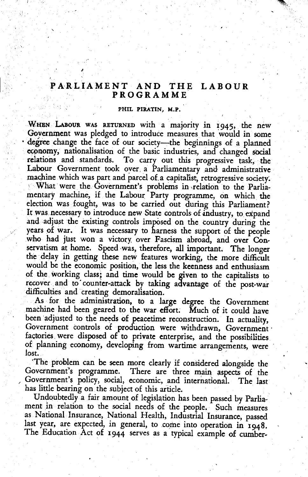#### PARLIAMENT AND THE LABOUR **PROGRAMME**

#### PHIL PIRATIN. M.P.

WHEN LABOUR WAS RETURNED with a majority in 1945, the new Government was pledged to introduce measures that would in some degree change the face of our society-the beginnings of a planned economy, nationalisation of the basic industries, and changed social relations and standards. To carry out this progressive task, the Labour Government took over a Parliamentary and administrative machine which was part and parcel of a capitalist, retrogressive society. What were the Government's problems in relation to the Parliamentary machine, if the Labour Party programme, on which the election was fought, was to be carried out during this Parliament? It was necessary to introduce new State controls of industry, to expand and adjust the existing controls imposed on the country during the years of war. It was necessary to harness the support of the people who had just won a victory over Fascism abroad, and over Conservatism at home. Speed was, therefore, all important. The longer the delay in getting these new features working, the more difficult would be the economic position, the less the keenness and enthusiasm of the working class; and time would be given to the capitalists to recover and to counter-attack by taking advantage of the post-war difficulties and creating demoralisation.

As for the administration, to a large degree the Government machine had been geared to the war effort. Much of it could have been adjusted to the needs of peacetime reconstruction. In actuality, Government controls of production were withdrawn, Government factories were disposed of to private enterprise, and the possibilities of planning economy, developing from wartime arrangements, were lost.

'The problem can be seen more clearly if considered alongside the Government's programme. There are three main aspects of the Government's policy, social, economic, and international. The last has little bearing on the subject of this article.

Undoubtedly a fair amount of legislation has been passed by Parliament in relation to the social needs of the people. Such measures as National Insurance, National Health, Industrial Insurance, passed last year, are expected, in general, to come into operation in 1948. The Education Act of 1944 serves as a typical example of cumber-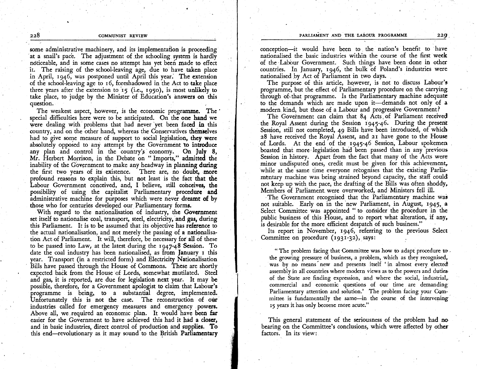some administrative machinery, and its implementation is proceeding at a snail's pace. The adjustment of the schooling system is hardly noticeable, and in some cases no attempt has yet been made to effect it. The raising of the school-leaving age, due to have taken place in April, 1946, was postponed until April this year. The extension of the school-leaving age to 16, foreshadowed in the Act to ake place three years after the extension to'r5 (i.e., r95o), is most unlikcly to take place, to judge by the Minister of Education's answers on this question.

The weakest aspect, however, is the economic programmc. The' special diffiaulties here were to be anticipated. On the one hand we were dealing with problems that had never yet been faced in this country, and on the other hand, whereas the Conservatives themrelves had to give some measure of support to social legislation, they were absolutely opposed to any attempt by the Government to introduce any plan and control in the country's economy. On July  $8$ , Mr. Herbert Morrison, in the Debate on " Imports," admitted the inability of the Government to make any headway in planning during the first two years of its existence. There are, no doubt, more profound reasons to explain this, but not least is the fact that thc Labour Government conceived, and, I believe, still conceives, the possibility of using the capitalist Parliamentary procedure and administrative machine for purposes which were never dreamt of by those who for centuries developed our Parliamentary forms.

With regard to the nationalisation of industry, the Government set itself to nationalise coal, transport, steel, electricity, and gas, during this Parliament. It is to be assumed that its objective has reference to the actual nationalisation, and not merely the passing of a nationalisation Act of Parliament. It will, therefore, be necessary for all of thesc to be passed into Law, at the latest during the ry47-48 Scssion. To date the coal industry has been nationalised, as from lanuary r this year. Transport (in a restricted form) and Electricity Nationalisation Bills have passed through the House of Commons. These are shortly expected back from the House of Lords, somewhat mutilated. Steel and gas, it is reported, are due for legislation next year. It may be possible, therefore, for a Government apologist to claim that Labour's programme is being, to a substantial degree, implemented. Unfortunately this is not the case. The reconstruction of our industries called for emergency measures and emergency powers. Above all, we required an economic plan. It would have been far easier for the Government to have achieved this had it had a closer, and in basic industries, direct control of production and supplies. To this end—revolutionary as it may sound to the British Parliamentary

conception-it would have been to the nation's benefit to have nationalised the basic industries within the course of the first week of the Labbur Government. Such things have been done in other countries. In )anuary, 1946, the bulk of Poland's industries were nationalised bv Act of Parliament in two davs.

The purpose of this article, however, is not to discuss Labour's programme, but the efiect of Parliamentary procedure on the carrying ihrough of.that programme. Is the Parliamentary machine adequate to the demands which are made upon it-demands not only of a modern kind, but those of a Labour and progressive Government?

The Government can claim that 84 Acts of Parliament received the Royal Assent during the Session 1945-46. During the present Session, still not completed, 49 Bills have been introduced, of which z8 have received the Royal Assent, and zt have gone to the Housc of Lords. At the end of the ry45-46 Session, Labour spokemen boasted that more legislation had been passed than in any previous Session in history. Apart from the fact that many of the Acts were minor undisputed ones, credit must be given for this achievement, while at the same time everyone recognises that the existing Parliamentary machine was being strained beyond capacity, the staff could not keep up with the pace, the drafting of the Bills was often shoddy, Members of Parliament were overworked, and Ministers fell ill.

The Government recognised that the Parliamentary machine was not suitable. Early on in the new Parliament, in August, 1945, a Select Committee was appointed " to consider the procedure in the public business of this House, and to report what alteration, if any, is desirable for the more efficient despatch of such business."

Its report in November, 1946, referring to the previous Select Committee on procedure (1931-32), says:

" The problem facing that Committee was how to adapt procedure to. the growing pressure of business, a problem, which as they recognised, was by no means new and presents itself 'in almost every elected assembly in all countries where modern views as to the powers and dutiesof the State are finding expression, and where the social, industrial, commercial and economic questions of our time are demanding. Parliamentary attention and solution.' The problem facing your Committee is fundamentally the same—in the course of the intervening 15 years it has only become more acute,"

This general statement of the seriousness of the problem had no, bcaring on the Committee's conclusions, which were affected by other factors. In its view: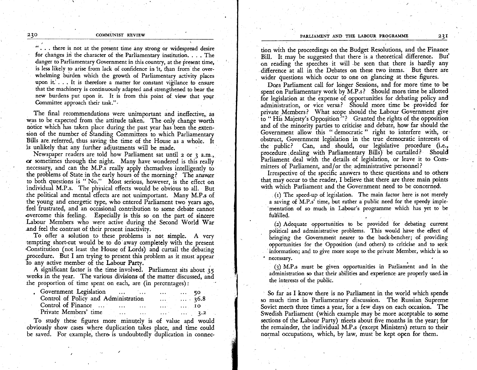## 230 COMMUNIST REVIEW

"... there is not at the present time any strong or widespread desire for changes in the character of the Parliamentary institution. . . . The danger to Parliamentary Government in this country, at the present time. is less likely to arise from lack of confidence in it, than from the overwhelming burden which the growth of Parliamentary activity places upon it. . . . It is therefore a matter for constant vigilance to ensure that the machinery is continuously adapted and, strengthened to bear the new burdens put upon it. It is from this point of view that yoqr Committee approach their task.",

The final recommendations were unimportant and ineffective, as was to be expected from the attitude taken. The only change worth notice which has taken place during the past year has been the extension of the number of Standihg Committees io which Parliamentary Bills are referred, thus saving the time of the House as a whole. It is unlikely that any further adjustments will be made.

Newspaper readers are told how Parliament sat until  $2$  or  $3$  a.m., or sometimes through the night. Many have wondered is this really necessary, and can the M.P.s really apply themselves intelligently to the problems of State in the early hours of the morning? The answer to both questions is "'No." Most serious, however, is the effect on individual M.P.s. The physical efiects would be obvious to all. But the political and mental efiects are not unimportant. Many M.P.s of the young and energetic type, who entered Parliament two years ago, feel frustrated, and an occasional contribution to some debate cannot overcome this feeling. Especially is this so on the part of sincere Labour Members who were active during the Second World War ^and feel the contrast of their present inactivity.

To offer a solution to these problems is not simple. A very tempting short-cut would be to d6 away complctely wiih the present Constitution (not least the House of Lords) and curtail the debating procedure. But I am trying to present this problem as it must appear io any active member of the Labour Party.

A significant factor is the time involved. Parliament sits about 35 weeks in the year. The various divisions of the matter discussed, and the proportion of time spent on each, are (in percentages):

| Government Legislation<br>$\cdots$ $\cdots$ 50 |                                                                                                                 |                        |                                     |                       |  |
|------------------------------------------------|-----------------------------------------------------------------------------------------------------------------|------------------------|-------------------------------------|-----------------------|--|
| Control of Policy and Administration           |                                                                                                                 | $\ldots$ $\ldots$ 36.8 |                                     |                       |  |
| Control of Finance                             | the contract of the contract of the contract of the contract of the contract of the contract of the contract of |                        | $\ldots$ $\ldots$ $\ldots$ $\ldots$ |                       |  |
| Private Members' time                          | $\cdots$                                                                                                        | <b>Contractor</b>      |                                     | $\cdots$ $\cdots$ 3.2 |  |

To study these figures more minutely is of value and would obviously show cases where duplication takes place, and time could be saved. For example, there is undoubtedly duplication in connec-

tion with the proceedings on the Budget Resolutions, and the Finance Bill. It may be suggested that there is a theoretical difference. But on reading the speeches it will be seen that there is hardly any difference at all in the Debates on these two items. But there are wider questions which occur to one on glancing at these figures.

Does Parliament call for longer Sessions, and for more time to be spent on Parliamentary work by  $M.P.s?$  Should more time be allotted for legislation at the expense of opportunities for debating policy and administration, or vice versa? Should more time be provided for private Members? What scope should the Labour Government give to "His Majesty's Opposition<sup>3</sup>"? Granted the rights of the opposition and of the minority parties to criticise and debate, how far should the Government allow this " democratic " right to interfere with, or obstruct, Government legislation in the true democratic interests of the public? Can, and should, our legislative procedure (i.e., procedure dealing with Parliamentary Bills) be curtailed? Should Parliament deal with the details of legislation, or leave it to Committees of Parliament, and/or the administrative personnel?

Irrespective of the specific answers to these questions and to others that may occur to the reader, I believe that there are three main points with which Parliament and the Government need to be concerned.

(r) The speed-up of legislation. The main factor here is not merely a saving of M.P.s' time, but rather a public need for the speedy implementation of so much in Labour's programme which has yet to be fulfilled.

(2) Adequate opportunities to be provided for debating current political and administrative problems. This would have the effect of bringing the Government nearer to the back-bencher; of providing opportunities for the Opposition (and others) to criticise and to seek information; and to give more scope to the private Member, which' is so necessary.

.

 $f(3)$  M.P.s must be given opportunities in Parliament and in the administration so that their abilities and experience are properly used in the interests of the public.

So far as I know there is no Parliament in the world which spends so much time in Parliamentary discussion. The Russian. Supreme Soviet meets three times a year, for a few days on each occasion. The Swedish Parliament (which example may be more acceptable to some sections of the Labour Party) meets about five months in the year; for the remainder, the individual M.P.s (except Ministcrs) return to their normal occupations, which, by law, must be kept open for them.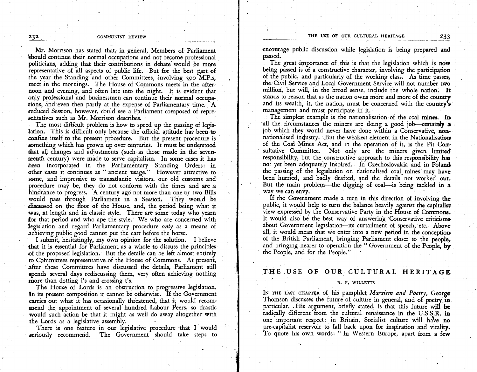THE USE OF OUR CULTURAL HERITAGE 233

#### COMMUNIST REVIEW

Mr. Morrison has stated that, in general, Members of Parliament should continue their normal occupations and not become professional , politicians, adding that their contributions in debate would be more representative of all aspects of public life. But for the best part of the year the Standing and other Committees, involving 3oo M.P.s, meet in the mornings. The House of Commons meets in the afternoon and evening, and often late into the night. It is evident that only professional and businessmen can continue their normal occupations, and even then partly at the expense of Parliamentary time. A reduced Session, however, could see a Parliament composed of representatives such as Mr. Morrison describes.

The most difficult problem is how to speed up the passing of legislation. This is difficult only because the official attitude has been to confine itself to the present procedure. But the present procedure is something which has grown up over centuries. It must be understood that all changes and adjustments (such as those made in the sevenreenth century) were made to serve capitalism. In some cases it has heeo incorporated in the Parliamentary Standing Orders: in other cases it continues as " ancient usage." However attractive to some, and impressive to transatlantic visitors, our old customs and procedure may be, they do not conform with the times and are a hindrance to progress. A century ago not more than one or two Bills discussed on the floor of the House, and, the period being what it would pass through Parliament in a Sessiori, They would be was, at length and in classic style. There are some today who yearn for that period and who ape the style. We who are concerned with legislation and regard Parliamentary procedure only as a means of achieving public good cannot put the cart before the horse.

I submit, hesitatingly, my own opinion for the solution. I believe that it is essential for Parliament as a whole to discuss the principles of the proposed legislation. But the details can be left almost entirely to Committees representative of the House of Commons. At present, after these Committees have discussed the details, Parliament still spcnds several days rediscussing them, very often achieving nothing more than dotting i's and crossing t's.

The House of Lords is an obstruction to progressive legislation. In its present composition it cannot be otherwise. If the Government carries out what it has occasionally threatened, that it would recommend the appointment of several hundred Labour Peers, so drastic mend the apponentent of several numeror radioan Teers, so drastic would such action be that it might as well do away altogether with the Lords as a legislative assembly

There is one feature in our legislative procedure that I would seriously recommend. The Government should take steps to encourage public discussion while legislation is being prepared and passed.

The great importance of this is that the legislation which is now being passed is of a constructive character, involving the participation of the public, and particularly of the working class. As time passes, thc Civil Service and Local Government Service will not number two milliori, but will, in the broad sense, include the whole nation. It stands to reason that as the nation owns more and more of the country and its wealth, it, the nation, must be concerned with the country's management and must participate in it.

The simplest example is the nationalisation of the coal mines. In 'all the circumstances the miners are doing a good job-certainly a job which they would never have done within a Conservative, monnationalised industry. But the weakest element in the Nationalisation of the Coal Mines Act, and in the operation of it, is the Pit Con' sultative Committee. Not only are the miners given limited responsibility, but the constructive approach to this responsibility has not yet been adequately inspired. In Czechoslovakia and in Poland the passing of the legislation on nationalised coal mines may have been hurried, and badly drafted, and the details not worked out-But the main problem-the digging of coal-is being tackled in a way wq can envy.

If the Government made a turn in this direction of involving the public, it would help to turn the balance heavily against the capitalist view expressed by the Conservative Party in the House of Commons.. It would also be the best way of answering 'Conservative criticisms about Government legislation-its curtailment of speech, etc. Above all, it would mean that we enter into a new period in the conception of the British Parliament, bringing Parliament closer to the people, and bringing nearer to operation the " Government of the People, by the People, and for the People." '

THE.USE OF OUR. CULTURAL HERITAGE

#### R. F. WILLETTS

IN THE LAST CHAPTER of his pamphlet Marxism and Poetry, George Thomson discusses the future of culture in general, and of poetry in particular. His argument, briefly stated, is that this future will be radically different from the cultural renaissance in the U.S.S.R. in one important respect: in Britain, Socialist culture will have no pre-capitalist reservoir to fall back upon for inspiration and vitality. To quote his own words: "In Western Europe, apart from a few

232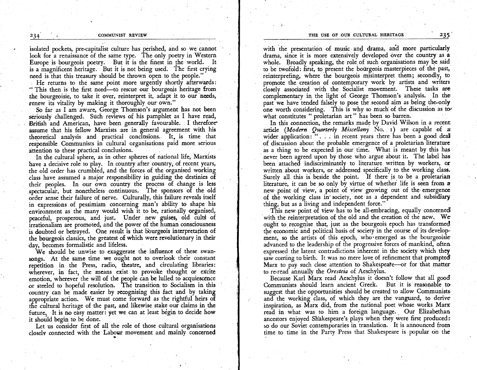isolated pockets, pre-capitalist culture has perished, and so we cannot look for a renaissance of the same type. The only poetry in Western Europe is bourgeois poetry. But it is the finest in the world. It is a magnificent heritage. But it is not being used. The first crying need is that this treasury should be thrown open to the people."

He returns to the same point more urgently shortly afterwards: " This then is the first need—to rescue our bourgeois heritage from the bourgeoisie, to take it over, reinterpret it, adapt it to our needs, renew its vitality by making it thoroughly our own."

So far as I am aware, George Thomson's argument has not been seriously challenged. Such reviews of his pamphlet as I have read, British and American, have been generally favourable. I therefore assume that his fellow Marxists are in general agreement with his theoretical analysis and practical conclusions. It is time that responsible Communists in cultural organisations paid more serious attention to these practical conclusions.

In the cultural sphere, as in other spheres of national life, Marxists have a decisive role to play. In country after country, of recent years, the old order has crumbled, and the forces of the organised working class have assumed a maior responsibility in guiding the destinies of their peoples. In our own country the process of change is less spectacular, but nonetheless continuous. The sponsors of the old order sense their failure of nerve. Culturally, this failure reveals itself in expressions of pessimism concerning man's ability to shape his environment as the many would wish it to be, rationally organised, peaceful, prosperous, and just. Under new guises, old cults of irrationalism are promoted, and the power of the human consciousness is doubted or betrayed. One result is that bourgeois interpretation of the bourgeois classics, the greatest of which were revolutionary in their day, becomes formalistic and lifeless.

We should be unwise to exaggeratc the influence of these swansongs. At the same time we ought not to overlook their constant repetition in the Press, radio, theatre, and circulating libraries: wherever, in fact, the means exist to provoke thought or excite emotion, wherever the will of the people can be lulled to acquiescence or steeled to hopeful resolution. Thc transition to Socialism in this country can be made easier by recognising this fact and by taking appropriate action. We must come forward as the rightful heirs of the cultural heritage of the past, and likewise stake our claims in the future. It is no easy matter: yet we can at least begin to decide how it should begin to be done.

Let us consider first of all the role of those cultural organisations closelv connected with the Labour movernent and mainly concerned

with the presentation of music and drama, and more particularly drama, since it is more extensively developed over the country as a whole. Broadly speaking, the role of such organisations may be said to be twofold: first, to present the bourgeois masterpieces of the past, reinterpreting, where the bourgeois misinterpret them; secondly, to promote the creation of contemporary work by artists and writers closely associated with the Socialist movement. These tasks are complementary in the light of George Thomson's analysis. In the past we have tended falsely to pose the second aim as being the only one worth considering. This is why so much of the discussion as to what constitutes " proletarian art " has been so barren.

In this connection, the remarks made by David Wilson in a recent article (Modern Quarterly Miscellany No.  $\overline{I}$ ) are capable of a wider application: ". . . in recent years there has been a good deal of discussion about the probable emergence of a proletarian literature as a thing to be expected in our time. What is meant by this has never been agreed upon by those who argue about it. The label has been attached indiscriminately to literature written by workers, or written about workers, or addressed specifically to the working class. Surely all this is beside the point. If there is to be a proletarian literaiure, it can be so only by virtue of whether life is seen from <sup>a</sup> new point of view, a poirit of view growing out of the emergence of the working class in society, not as a dependent and subsidiary thing, but as a living and independent force."

This new point of view has to be all-embracing, equally concerned with the reinterpretation of the old and the creation of the new. We ought to recognise that, just as the bourgeois epoch has transformed the economic and political basis of society in the course of its development, so the artists of this epoch, who emerged as the bourgeoisie advanced to the leadership of ihe progressive forces of mankind, often expressed the latent contradictions inherent in the society which they saw coming to birth. It was no mere love of refinement that prompted Marx to pay such close attention to Shakespeare-or for that matter to re-read annually the Oresteia of Aeschylus.

Because Karl Marx read Aeschylus it doesn't follow that all good Communists should learn ancient Greek. But it is reasonable to suggest that the opportunities should be created to allow Communists and the working class, of which they are the vanguard, to derive inspiration, as Marx did, from the national poet whose works Marx read in what was to him a foreign language. Our Elizabethan ancestors enjoyed Shakespeare's plays when they were first produced: so do our Soviet contemporaries in translation. It is announced from time to time in the Party Press that Shakespeare is popular on the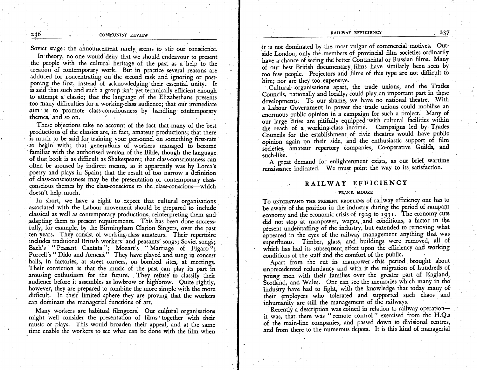#### COMMUNIST REVIEW

Soviet stage: the announcement rarely seems to stir our conscience.

In theory, no one would deny that we should endeavour to present the people with the cultural heritage of the past as a help to the creation of contemporary work. But in practice several reasons are adduced for concentrating on the second task and ignoring or postponing the first, instead of acknowledging their essential unity. It is said that such and such a group isn't yet technically efficient enough to attempt a classic; that the language of the Elizabethans presents too many difficulties for a working-class audience; that our immediate aim is to promote class-consciousness by handling contemporary themes, and so on.

These objections take no account of the fact that many of the best productions of the classics are, in fact, amateur productions; that there is much to be said for training your personnel on something first-rate to begin with; that generations of workers managed to become familiar with the authorised version of the Bible, though the language of that book is as difficult as Shakespeare; that class-consciousness can often be aroused by indirect means, as it apparently was by Lorca's poetry and plays in Spain; that the result of too narrow a definition of class-consciousness may be the presentation of contemporary classconscious themes by the class-conscious to the class-conscious-which doesn't help much.

In short, we have a right to expect that cultural organisations associated with the Labour movement should be prepared to include classical as well as contemporary productions, reinterpreting them and adapting them to present requirements. This has been done successfully, for example, by the Birmingham Clarion Singers, over the past ten years. They consist of working-class amateurs. Their repertoire includes traditional British workers' and peasants' songs; Soviet songs; Bach's "Peasant Cantata"; Mozart's "Marriage of Figaro"; Purcell's "Dido and Aeneas." They have played and sung in concert halls, in factories, at street corners, on bombed sites, at meetings. Their conviction is that the music of the past can play its part in arousing enthusiasm for the future. They refuse to classify their audience before it assembles as lowbrow or highbrow. Quite rightly, however, they are prepared to combine the more simple with the more difficult. In their limited sphere they are proving that the workers can dominate the managerial functions of art.

Many workers are habitual filmgoers. Our cultural organisations might well consider the presentation of films together with their music or plays. This would broaden their appeal, and at the same time enable the workers to see what can be done with the film when

it is not dominated by the most vulgar of commercial motives. Outside London, only the members of provincial film societies ordinarily have a chance of seeing the better Continental or Russian films. Many of our best British documentary films have similarly been seen by too few people. Projectors and films of this type are not difficult to hire; nor are they too expensive.

Cultural organisations apart, the trade unions, and the Trades Councils, nationally and locally, could play an important part in these developments. To our shame, we have no national theatre. With a Labour Government in power the trade unions could mobilise an enormous public opinion in a campaign for such a project. Many of our large cities are pitifully equipped with cultural facilities within the reach of a working-class income. Campaigns led by Trades Councils for the establishment of civic theatres would have public opinion again on their side, and the enthusiastic support of film societies, amateur repertory companies, Co-operative Guilds, and such-like.

A great demand for enlightenment exists, as our brief wartime renaissance indicated. We must point the way to its satisfaction.

# RAILWAY EFFICIENCY

#### FRANK MOORE

To UNDERSTAND THE PRESENT PROBLEMS of railway efficiency one has to be aware of the position in the industry during the period of rampant economy and the economic crisis of 1929 to 1931. The economy cuts did not stop at manpower, wages, and conditions, a factor in the present understaffing of the industry, but extended to removing what appeared in the eyes of the railway management anything that was superfluous. Timber, glass, and buildings were removed, all of which has had its subsequent effect upon the efficiency and working conditions of the staff and the comfort of the public.

Apart from the cut in manpower this period brought about unprecedented redundancy and with it the migration of hundreds of young men with their families over the greater part of England, Scotland, and Wales. One can see the memories which many in the industry have had to fight, with the knowledge that today many of their employers who tolerated and supported such chaos and inhumanity are still the management of the railways.

Recently a description was coined in relation to railway operationit was, that there was "remote control" exercised from the H.Q.s of the main-line companies, and passed down to divisional centres, and from there to the numerous depots. It is this kind of managerial

236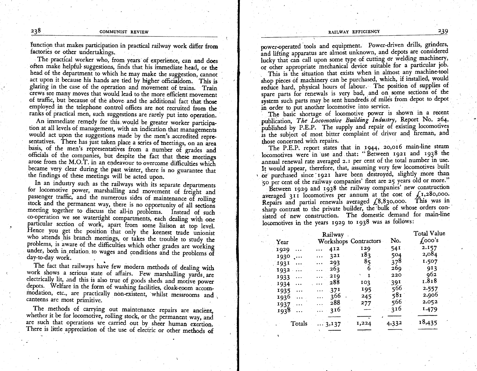function that makes participation in practical railway work differ from factories or other undertakings.

The practical worker who, from years of experience, can and does often make helpful suggestions, finds that his immediate head, or the head of the department to which he may make the suggestion, cannot act upon it because his hands are tied by higher officialdom. This is glaring in the case of the operation and movement of trains. Train crews see many moves that would lead to the more efficient movement of traffic, but because of the above and the additional fact that those employed in the telephone control offices are not recruited from the ranks of practical men, such suggestions are rarely put into operation.

An immediate remedy for this would be greater worker participation at all levels of management, with an indication that managements would act upon the suggestions made by the men's accredited representatives. There has just taken place a series of meetings, on an area basis, of the men's representatives from a number of grades and officials of the companies, but despite the fact that these meetings arose from the M.O.T. in an endeavour to overcome difficulties which became very clear during the past winter, there is no guarantee that the findings of these meetings will be acted upon.

In an industry such as the railways with its separate departments for locomotive power, marshalling and movement of freight and passenger traffic, and the numerous sides of maintenance of rolling stock and the permanent way, there is no opportunity of all sections meeting together to discuss the all-in problems. Instead of such co-operation we see watertight compartments, each dealing with one particular section of work, apart from some liaison at top level. Hence you get the position that only the keenest trade unionist who attends his branch meetings, or takes the trouble to study the problems, is aware of the difficulties which other grades are working under, both in relation to wages and conditions and the problems of day-to-day work.

The fact that railways have few modern methods of dealing with work shows a serious state of affairs. Few marshalling yards are electrically lit, and this is also true of goods sheds and motive power depots. Welfare in the form of washing facilities, cloak-room accommodation, etc., are practically non-existent, whilst messrooms and canteens are most primitive.

The methods of carrying out maintenance repairs are ancient, whether it be for locomotive, rolling stock, or the permanent way, and are such that operations are carried out by sheer human exertion. There is little appreciation of the use of electric or other methods of power-operated tools and equipment. Power-driven drills, grinders, and lifting apparatus are almost unknown, and depots are considered lucky that can call upon some type of cutting or welding machinery, or other appropriate mechanical device suitable for a particular job.

This is the situation that exists when in almost any machine-tool shop pieces of machinery can be purchased, which, if installed, would reduce hard, physical hours of labour. The position of supplies of spare parts for renewals is very bad, and on some sections of the system such parts may be sent hundreds of miles from depot to depot in order to put another locomotive into service.

The basic shortage of locomotive power is shown in a recent publication, The Locomotive Building Industry, Report No. 264, published by P.E.P. The supply and repair of existing locomotives is the subject of most bitter complaint of driver and fireman, and those concerned with repairs.

The P.E.P. report states that in 1944, 20,016 main-line steam locomotives were in use and that: "Between 1921 and 1938 the annual renewal rate averaged 2.1 per cent of the total number in use. It would appear, therefore, that, assuming very few locomotives built or purchased since 1921 have been destroyed, slightly more than 50 per cent of the railway companies' fleet are 25 years old or more."

Between 1929 and 1938 the railway companies' new construction averaged 311 locomotives per annum at the cost of  $f_{.1,280,000}$ . Repairs and partial renewals averaged (8,830,000. This was in sharp contrast to the private builder, the bulk of whose orders consisted of new construction. The domestic demand for main-line locomotives in the years 1929 to 1938 was as follows:

|                     | Railway                     |       | Total Value |            |
|---------------------|-----------------------------|-------|-------------|------------|
| Year                | Workshops Contractors       |       |             | $1,000$ 's |
| 1929<br>.           | 412<br>in en                | 129   | 541         | 2.157      |
| 1930<br>$\ddotsc$   | 32I<br>in e                 | 183   | 504         | 2,084      |
| 1931<br>$\ddotsc$   | 293<br>$\cdots$             | 85    | 378         | 1.507      |
| 1932<br>            | 263                         | 6     | 269         | 913        |
| 1933<br>$\cdots$    | 2IQ<br>.                    |       | 220         | 962        |
| 1934<br>.           | 288                         | 103   | 391         | 1.818      |
| 1935<br>$\sim 10^4$ | 37 <sup>1</sup><br>$\cdots$ | 195   | 566         | 2.557      |
| 1936.               | 366                         | 245   | 581         | 2.906      |
| 1937<br>$\cdots$    | 288<br>$\cdots$             | 277   | 566         | 2.052      |
| 1938.<br>$\ddotsc$  | 316<br>o dia 1              |       | 316         | 1.479      |
| Totals              | $\ldots$ 3,137              | 1,224 | 4,332       | 18,435     |
|                     |                             |       |             |            |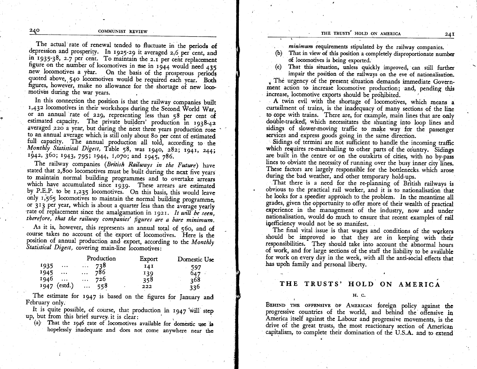THE TRUSTS' HOLD ON AMERICA

The actual rate of renewal tended to fluctuate in the periods of depression and prosperity. In 1925-29 it averaged 2.6 per cent, and in 1935-38, 2.7 per cent. To maintain the 2.1 per cent replacement figure on the number of locomotives in use in 1944 would need 435 new locomotives a year. On the basis of the prosperous periods quoted above, 540 locomotives would be required each year. Both figures, however, make no allowance for the shortage of new locomotives during the war years.

In this connection the position is that the railway companies built 1,432 locomotives in their workshops during the Second World War, or an annual rate of 229, representing less than 58 per cent of estimated capacity. The private builders' production in 1938-42 averaged 220 a year, but during the next three years production rose to an annual average which is still only about 80 per cent of estimated full capacity. The annual production all told, according to the Monthly Statistical Digest, Table 58, was 1940, 282; 1941, 244; 1942, 360; 1943, 795; 1944, 1,070; and 1945, 786.

The railway companies (British Railways in the Future) have stated that 2,800 locomotives must be built during the next five years to maintain normal building programmes and to overtake arrears which have accumulated since 1939. These arrears are estimated by P.E.P. to be 1,235 locomotives. On this basis, this would leave only 1,565 locomotives to maintain the normal building programme, or 313 per year, which is about a quarter less than the average yearly rate of replacement since the amalgamation in 1921. It will be seen, therefore, that the railway companies' figures are a bare minimum.

As it is, however, this represents an annual total of 560, and of course takes no account of the export of locomotives. Here is the position of annual production and export, according to the Monthly Statistical Digest, covering main-line locomotives:

|                |                        | Production   | Export | Domestic Use |  |
|----------------|------------------------|--------------|--------|--------------|--|
| 1935           | $\cdots$               | $\ldots$ 738 | 14 I   | 597          |  |
| 1945           | $\cdots$<br>$\cdots$   | 786          | 139    |              |  |
| 1946           | $\sim 100$<br>$\cdots$ | 726          | 358    | 368          |  |
| $1947$ (estd.) | $\cdots$               | 558          | 222    | 336          |  |

The estimate for 1947 is based on the figures for January and February only.

It is quite possible, of course, that production in 1947 will step up, but from this brief survey it is clear:

(a) That the 1946 rate of locomotives available for domestic use is hopelessly inadequate and does not come anywhere near the minimum requirements stipulated by the railway companies.

(b) That in view of this position a completely disproportionate number of locomotives is being exported.

(c) That this situation, unless quickly improved, can still further impair the position of the railways on the eve of nationalisation.

The urgency of the present situation demands immediate Government action to increase locomotive production; and, pending this increase, locomotive exports should be prohibited.

A twin evil with the shortage of locomotives, which means a curtailment of trains, is the inadequacy of many sections of the line to cope with trains. There are, for example, main lines that are only double-tracked, which necessitates the shunting into loop lines and sidings of slower-moving traffic to make way for the passenger services and express goods going in the same direction.

Sidings of termini are not sufficient to handle the incoming traffic which requires re-marshalling to other parts of the country. Sidings are built in the centre or on the outskirts of cities, with no by-pass lines to obviate the necessity of running over the busy inner city lines. These factors are largely responsible for the bottlenecks which arose during the bad weather, and other temporary hold-ups.

That there is a need for the re-planning of British railways is obvious to the practical rail worker, and it is to nationalisation that he looks for a speedier approach to the problem. In the meantime all grades, given the opportunity to offer more of their wealth of practical experience in the management of the industry, now and under nationalisation, would do much to ensure that recent examples of rail inefficiency would not be so manifest.

The final vital issue is that wages and conditions of the workers should be improved so that they are in keeping with their responsibilities. They should take into account the abnormal hours of work, and for large sections of the staff the liability to be available for work on every day in the week, with all the anti-social effects that has upon family and personal liberty.

# THE TRUSTS' HOLD ON AMERICA

#### H. C.

BEHIND THE OFFENSIVE OF AMERICAN foreign policy against the progressive countries of the world, and behind the offensive in America itself against the Labour and progressive movements, is the drive of the great trusts, the most reactionary section of American capitalism, to complete their domination of the U.S.A. and to extend

24 I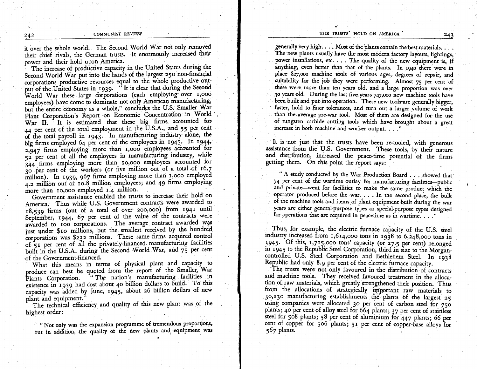it over the whole world. The Second World War not only removed their chief rivals, the German trusts. It enormously increased their power and their hold upon America.

The increase of productive capacity in the United States during the Second World War put into the hands of the largest 250 non-financial corporations productive resources equal to the whole productive output of the United States in 1939. "It is clear that during the Second World War these large corporations (each employing over 1,000 employees) have come to dominate not only American manufacturing, but the entire economy as a whole," concludes the U.S. Smaller War Plant Corporation's Report on Economic Concentration in World War II. It is estimated that these big firms accounted for 44 per cent of the total employment in the U.S.A., and 55 per cent of the total payroll in 1943. In manufacturing industry alone, the big firms employed 64 per cent of the employees in 1945. In 1944, 2,947 firms employing more than 1,000 employees accounted for 52 per cent of all the employees in manufacturing industry, while 344 firms employing more than 10,000 employees accounted for 30 per cent of the workers (or five million out of a total of 16.7 million). In 1939, 967 firms employing more than 1,000 employed 4.2 million out of 10.8 million employees; and 49 firms employing more than 10,000 employed 1.4 million.

Government assistance enabled the trusts to increase their hold on America. Thus while U.S. Government contracts were awarded to 18,539 firms (out of a total of over 200,000) from 1941 until September, 1944, 67 per cent of the value of the contracts were awarded to 100 corporations. The average contract awarded was just under \$10 millions, but the smallest received by the hundred corporations was \$232 millions. These same firms acquired control of 51 per cent of all the privately-financed manufacturing facilities built in the U.S.A. during the Second World War, and 75 per cent of the Government-financed.

What this means in terms of physical plant and capacity to produce can best be quoted from the report of the Smaller War "The nation's manufacturing facilities in Plants Corporation. existence in 1939 had cost about 40 billion dollars to build. To this capacity was added by June, 1945, about 26 billion dollars of new plant and equipment.

The technical efficiency and quality of this new plant was of the highest order:

"Not only was the expansion programme of tremendous proportions, but in addition, the quality of the new plants and equipment was

generally very high. . . . Most of the plants contain the best materials. . . The new plants usually have the most modern factory layouts, lightings, power installations, etc. . . . The quality of the new equipment is, if anything, even better than that of the plants. In 1940 there were in place 827,000 machine tools of various ages, degrees of repair, and suitability for the job they were performing. Almost 75 per cent of these were more than ten years old, and a large proportion was over 30 years old. During the last five years 747,000 new machine tools have been built and put into operation. These new tools are generally bigger, faster, hold to finer tolerances, and turn out a larger volume of work than the average pre-war tool. Most of them are designed for the use of tungsten carbide cutting tools which have brought about a great increase in both machine and worker output. . . ."

It is not just that the trusts have been re-tooled, with generous assistance from the U.S. Government. These tools, by their nature and distribution, increased the peace-time potential of the firms getting them. On this point the report says:

" A study conducted by the War Production Board . . . showed that 74 per cent of the wartime outlay for manufacturing facilities-public and private-went for facilities to make the same product which the operator produced before the war. . . . In the second place, the bulk of the machine tools and items of plant equipment built during the war years are either general-purpose types or special-purpose types designed for operations that are required in peacetime as in wartime. . . ."

Thus, for example, the electric furnace capacity of the U.S. steel industry increased from 1,614,000 tons in 1938 to 6,248,000 tons in 1945. Of this, 1,715,000 tons' capacity (or 27.5 per cent) belonged in 1945 to the Republic Steel Corporation, third in size to the Morgancontrolled U.S. Steel Corporation and Bethlehem Steel. In 1938 Republic had only 8.9 per cent of the electric furnace capacity.

The trusts were not only favoured in the distribution of contracts and machine tools. They received favoured treatment in the allocation of raw materials, which greatly strengthened their position. Thus from the allocations of strategically important raw materials to 30,130 manufacturing establishments the plants of the largest 25 using companies were allocated 30 per cent of carbon steel for 750 plants; 40 per cent of alloy steel for 664 plants; 37 per cent of stainless steel for 508 plants; 58 per cent of aluminium for 447 plants; 66 per cent of copper for 506 plants; 51 per cent of copper-base alloys for 567 plants.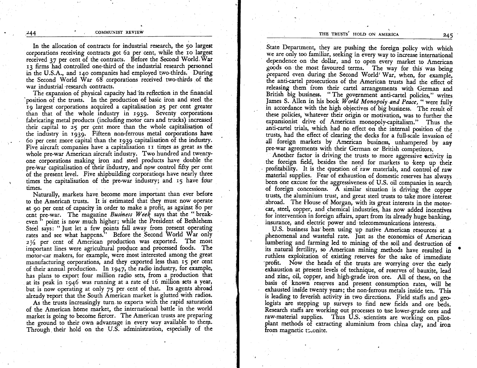In the allocation of contracts for industrial research, the 5o largest corporations receiving contracts got 62 per cent, while the ro largest received  $37$  per cent of the contracts. Before the Second World, War r3 firms had controlled one-third of the industrial research personnel in the U.S.A., and r4o companies had employed two-thirds. During the Second World War 68 corporations received two-thirds of thc war industrial research contracts.

The expansion of physical capacity had its reflection in the financial position of the trusts. In the production of basic iron and steel the i9 largest corporations acquired a capitalisation 25 Per cent greater than ihat of the whole industry in 1939. Seventy corporations fabricating metal products (including rnotor cars and trucks) increased their capital to 25 per cent more than the whole capitalisation of the industry in 1939. Fifteen non-ferrous metal corporations have 6o per cent rnore capital than the 1939 capitalisation of tho indusuy. Five aircraft companies have a capitalisation II times as great as the whole pre-war American aircraft industry. Two hundred and twenty. one corporations making iron and steel products have double the pre-war-capitalisation of their industry, and now control fifty per cent of the present level. Five shipbuilding corporations have nearly three times the capitalisation of the pre-war industry; and 15 have four times.

Naturally, markets have become more important than ever before to the American trusts. It is estimated that they must now operate at go per cent of capacity in order to make a profit, as against 8o per cent pre-war. The magazine Business Week says that the "breakcent pre-war. The magazine *business week* says that the break-<br>even " point is now much higher; while the President of Bethlehem Steel says: "Just let a few points fall away from present operating rates and see what happens." Before the Second World War only  $2\frac{1}{2}$  per cent of American production was exported. The most important lines were agricultural produce and processed foods. The motor-car makers, for example, were most interested among the great manufacturing corporations, and they exported less than 15 per cent of their annual production. In 1947, the radio industry, for example, has plans to export four million radio sets, from a production that at its peak in 1946 was running at a rate of 16 million sets a year, but is now operating at only 75 per cent of that. Its agents abroad already report that the South American market is glutted with radios.

As the trusts increasingly turn to exports with the rapid saturation of the American home market, the iniernational battle in the world marker is going to become fiercer. The American trusts are preparing the ground to their own advantage in every way available to them. Through their hold on the U.S. administration, especially of the

State Department, they are pushing the foreign policy with which we are only too familiar, seeking in every way to increase international dependence on the dollar, and to open every market to American goods on the most favoured terms. The way for this was being prepared even during the Second World' War, when, for example, the anti-cartel prosecutions of the American trusts had the efiecf oi releasing them from their cartel arrangements with German and British big business. "The government anti-cartel policies," writes James S. Allen in his book World Monopoly and Peace, " were fully in accordance with the high objectives of big business. The result of these policies, whatever their origin or motivation, was to further the expansionist drive of American monopoly-capitdism." Thus the anti-cartel trials, which had no effect on the internal position of the trusts, had the efiect of clearing the decks for a full-scile invasion of all foreigq markets by American business, unhampered by any pre-war agreements with their German or British competitors.

Another factor is driving the trusts to more aggressive activity in the foreign field, besides the need for markets to keep up their profitability. It is the question of raw materials, and control of raw material supplies. Fear of exhaustion of domestic reserves has always been one excuse for the aggressiveness of U.S. oil companies in search of foreign concessions.  $\overline{A}$  similar situation is driving the copper trusts, the aluminium trust, and great steel trusts to take more interest abroad. The House of Morgan, with its great interests in the motorcar, steel, copper, and chemical industries, has now added incentives for intervention in foreign affairs, apart from its already huge banking, insurance, and electric power and telecommunications interests.

U.S. business has been using up native American resources at a phenomenal and wasteful rate. Just as the economics of American lumbering and farming led to mining of the soil and destruction of its natural fertility, so American mining methods have resulted in ruthless exploitation of existing reserves for the sake of immediate profit. Now the heads of the trusts are worrying over the early exhaustion at present levels of technique, of reserves of bauxite, lead and zinc, oil, copper, and high-grade iron ore. All of these, on the basis of known reserves and present consumption rates, will be exhausted inside twenty years; the non-ferrous metals inside ten. This is leading to feverish activity in two directions. Field staffs and geologists are stepping up surveys to find new fields and ore beds. Research staffs are working out processes to use lower-grade ores and raw-material supplies. Thus U.S. scientists are working on pilotplant methods of extracting aluminium from china clay, and iron from magnetic teconite.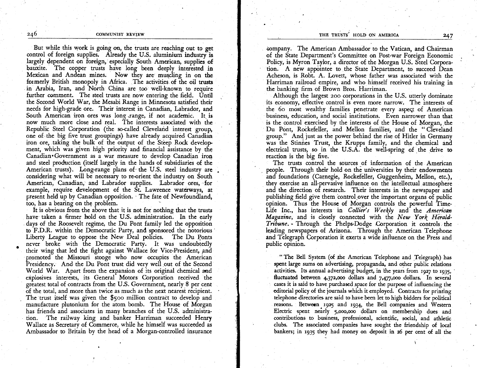But while this work is going on, the trusts arc reaching out to ger control of foreign supplies. Already the U.S. aluminium industry is largely dependent on foreign, especially South American, supplies of bauxite. The copper trusts have long been deeply interested in Mexican and Andean mines. Now they are muscling in on the formerly British monopoly in Africa. The activities of ihe oil trusts in Arabia, Iran, and North China are too well-known to require further comment. The steel trusts are now entering the field. Until the Second World War, the Mesabi Range in Minnesota satisfied their needs for high-grade ore. Their interest in Canadian, Labrador, and South American iron ores was long range, if not academic. It is now much more close and real. The interests associated with the Republic Steel Corporation (the so-called Cleveland interest group, one of the big five trust groupings) have already acquired Canadian iron ore, taking the bulk of the output of the Steep Rock development, which was given high priority and financial assistance by the Canadian.Government as a war measure to develop Canadian iron and steel production (itself largely in the hands of subsidiaries of the American trusts). Long-range plans of the U.S. steel industry are considering what will be necessary to re-orient the industry on South American, Canadian, and Labrador supplies. Labrador ores, for example, require development of the St. Lawrence waterways, at present held up by Canadian opposition. ' The fate of Newfoundland, too, has a bearing on the problem.

It is obvious from the above that it is not for nothing that the trusts have taken a firmer hold on the U.S. administration. In the early days of the Roosevelt regime, the Du Pont family led the opposition to F.D.R. within the Democratic Party, and sponsored the notorious Liberty League to oppose the New Deal policies. The Du Ponts never broke with the Democratic Party. It was undoubtedly their wing that led the fight against Wallace for Vice-President, and promoted the Missouri stooge who now occupies the American Presidency. And the Du Pont trust did very well out of the Second World War. Apart from the expansion of its original chemical and explosives interests, its General Motors Corporation received the greatest total of contracts from the U.S. Government, nearly 8 per cent of the total, and more than twice as much as the next nearest recipient. The trust itself was given the \$500 million contract to develop and manufacture plutonium for the atom bomb. The Flouse of Morgan has friends and associates in many branches of the U.S. administration. The railway king and banker Harriman succeeded Henry Wallace as Secretary of Commerce, while he himself was succeeded as Ambassador to Britain by the head of a Morgan-controlled insurance

company. The American Ambassador to the Vatican, and Chairman of the State Department's Committee on Post-war Foreign Economic Policy, is Myron Taylor, a director of the Morgan U.S. Steel Corporation. A new appointee to the State Department, to succeed Dean Acheson, is Robt. A. Lovett, whose father was associated with the Harriman railroad empire, and who himself received his training in the banking firm of Brown Bros. Harriman.

Although the largest 200 corporations in the U.S. utterly dominate its economy, efiective control is even more narrow. The interests of the 6o most wealthy families penetrate every aspeqt of American business, education, and social institutions. Even narrower than that is the control exercised by the interests of the House of Morgan, the Du Pont, Rockefeller, and Mellon families, and the "Cleveland group." And just as the power behind the rise of Hitler in Germany was the Stinnes Trust, the Krupps family, and the chemical and electrical trusts, so in the U.S.A. the well-spring of the drive to reaction is the big five.

The trusts control the sources of information of the American people. Through their hold on the universities by their endowments and foundations (Carnegie, Rockefeller, Guggenheim, Mellon, etc.), they exercise an all-pervasive influence on the intellectual atmosphere and the direction of research. Their interests in the newspaper and publishing field give them control over the important organs of public opinion. Thus the House of Morgan controls the powerful Time-Life Inc., has interests in Collier's Weekly and the American Magazine, and is closely connected with the New York Herald-Tribune. - Through the Phelps-Dodge Corporation it controls the leading newspapers of Arizona. Through the American Telephone and Telegraph Corporation it exerts a wide influence on the Press and public opinion.

" The Bell System (of the American Telephone and Telegraph) has spent large sums on advertising, propaganda, and other public relations activities. Its annual advertising budget, in the years from 1927 to 1935, fluctuated between  $4,372,000$  dollars and  $7,477,000$  dollars. In several cases it is said to have purchased space for the purpose of influencing the editorial policy of the journals which it employed. Contracts for printing telephone directories are said to have been let to high bidders for political reasons. Between 1925 and 1934, the Bell companies and Western reasons. Electric spent nearly 5,000,000 dollars on membership dues and contributions to business, professional, scientific, social, and athletic clubs. The associated companies have sought the friendship of local bankers; in 1935 they had money on deposit in 26 per cent of all the

.t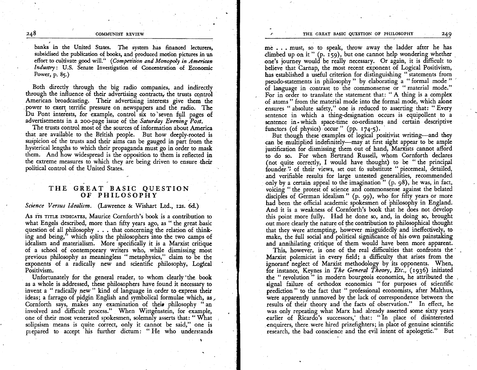banks in the United States. The system has financed lecturers, subsidised the publication of books, and produced motion pictures in an effort to cultivate good will." (Competition and Monopoly in American Industry: U.S. Senate Investigation of Concentration of Economic Power, p. 85.)

Both directly through the big radio companies, and indirectly through the influence of their advertising contracts, the trusts control American broadcasting. Their advertising interests give them the power to exert terrific pressure on newspapers and the radio. The Du Pont interests, for example, control six to seven full pages of advertisements in a 200-page issue of the Saturday Evening Post.

The trusts control most of the sources of information about America that are available to the British people. But how deeply-rooted is suspicion of the trusts and their aims can be gauged in part from the hysterical lengths to which their propaganda must go in order to mask them. And how widespread is the opposition to them is reflected in the extreme measures to which they are being driven to ensure their political control of the United States.

# THE GREAT BASIC QUESTION OF PHILOSOPHY

### Science Versus Idealism. (Lawrence & Wishart Ltd., 12s. 6d.)

As ITS TITLE INDICATES, Maurice Cornforth's book is a contribution to what Engels described, more than fifty years ago, as "the great basic question of all philosophy . . . that concerning the relation of thinking and being," which splits the philosophers into the two camps of idealism and materialism. More specifically it is a Marxist critique of a school of contemporary writers who, while dismissing most previous philosophy as meaningless "metaphysics," claim to be the exponents of a radically new and scientific philosophy, Logical Positivism.

Unfortunately for the general reader, to whom clearly the book as a whole is addressed, these philosophers have found it necessary to invent a "radically new" kind of language in order to express their ideas; a farrago of pidgin English and symbolical formulae which, as Cornforth says, makes any examination of their philosophy "an involved and difficult process." When Wittgenstein, for example, one of their most venerated spokesmen, solemnly asserts that: "What solipsism means is quite correct, only it cannot be said," one is prepared to accept his further dictum: "He who understands

me . . . must, so to speak, throw away the ladder after he has climbed up on it"  $(p, 159)$ , but one cannot help wondering whether one's journey would be really necessary. Or again, it is difficult to believe that Carnap, the most recent exponent of Logical Positivism, has established a useful criterion for distinguishing "statements from pseudo-statements in philosophy " by elaborating a "formal mode " of language in contrast to the commonsense or "material mode." For in order to translate the statement that: "A thing is a complex of atoms" from the material mode into the formal mode, which alone ensures "absolute safety," one is reduced to asserting that: "Every sentence in which a thing-designation occurs is equipollent to a sentence in which space-time co-ordinates and certain descriptive functors (of physics) occur " (pp.  $174-5$ ).

But though these examples of logical positivist writing-and they can be multiplied indefinitely—may at first sight appear to be ample justification for dismissing them out of hand, Marxists cannot afford to do so. For when Bertrand Russell, whom Cornforth declares (not quite correctly, I would have thought) to be "the principal founder." of their views, set out to substitute " piecemeal, detailed, and verifiable results for large untested generalities, recommended only by a certain appeal to the imagination" (p. 98), he was, in fact, voicing "the protest of science and commonsense against the belated disciples of German idealism" (p. 99), who for fifty years or more had been the official academic spokesmen of philosophy in England. And it is a weakness of Cornforth's book that he does not develop this point more fully. Had he done so, and, in doing so, brought out more clearly the nature of the contribution to philosophical thought that they were attempting, however misguidedly and ineffectively, to make, the full social and political significance of his own painstaking and annihilating critique of them would have been more apparent.

This, however, is one of the real difficulties that confronts the Marxist polemicist in every field; a difficulty that arises from the ignorant neglect of Marxist methodology by its opponents. When, for instance, Keynes in The General Theory, Etc., (1936) initiated the "revolution" in modern bourgeois economics, he attributed the signal failure of orthodox economics "for purposes of scientific prediction" to the fact that " professional economists, after Malthus, were apparently unmoved by the lack of correspondence between the results of their theory and the facts of observation." In effect, he was only repeating what Marx had already asserted some sixty years earlier of Ricardo's successors, that: "In place of disinterested enquirers, there were hired prizefighters; in place of genuine scientific research, the bad conscience and the evil intent of apologetic." But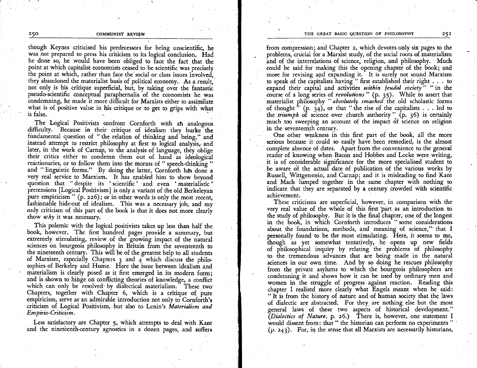though Keynes criticised his predecessors for being unscientific, he was not prepared to press his criticism to its logical conclusion. Had he done so, he would have been obliged to face the fact that the point at which capitalist economists ceased to be scientific was precisely the point at which, rather than face the social or class issues involved, they abandoned the materialist basis of political economy. As a result, not only is his critique superficial, but, by taking over the fantastic pseudo-scientific conceptual paraphernalia of the economists he was condemning, he made it more difficult for Marxists either to assimilate what is of positive value in his critique or to get to grips with what is false.

The Logical Positivists confront Cornforth with an analogous difficulty. Because in their critique of idealism they burke the fundamental question of "the relation of thinking and being," and instead attempt to restrict philosophy at first to logical analysis, and later, in the work of Carnap, to the analysis of language, they oblige their critics either to condemn them out of hand as ideological reactionaries, or to follow them into the morass of "speech-thinking" and "linguistic forms." By doing the latter, Cornforth has done a very real service to Marxism. It has enabled him to show beyond question that "despite its 'scientific' and even 'materialistic' pretensions [Logical Positivism] is only a variant of the old Berkeleyan pure empiricism " (p. 226); or in other words is only the most recent, fashionable hide-out of idealism. This was a necessary job, and my only criticism of this part of the book is that it does not more clearly show  $why$  it was necessary.

This polemic with the logical positivists takes up less than half the book, however, The first hundred pages provide a summary, but extremely stimulating, review of the growing impact of the natural sciences on bourgeois philosophy in Britain from the seventeenth to the nineteenth century. This will be of the greatest help to all students of Marxism, especially Chapters  $\alpha$  and  $\alpha$  which discuss the philosophies of Berkeley and Hume. Here the issue between idealism and materialism is clearly posed as it first emerged in its modern form; and is shown to hinge on conflicting theories of knowledge, a conflict which can only be resolved by dialectical materialism. These two Chapters, together with Chapter 6, which is a critique of pure empiricism, serve as an admirable introduction not only to Cornforth's criticism of Logical Positivism, but also to Lenin's Materialism and Empirio-Criticism.

Less satisfactory are Chapter 5, which attempts to deal with Kant and the nineteenth-century agnostics in a dozen pages, and suffers

from compression; and Chapter 2, which devotes only six pages to the problems, crucial for a Marxist study, of the social roots of materialism and of the interrelations of science, religion, and philosophy. Much could be said for making this the opening chapter of the book; and more for revising and expanding it. It is surely not sound Marxism to speak of the capitalists having "first established their right . . . to expand their capital and activities within feudal society" "in the course of a long series of revolutions" (p. 35). While to assert that materialist philosophy "absolutely smashed the old scholastic forms of thought" (p.  $34$ ), or that "the rise of the capitalists . . . led to the *triumph* of science over church authority  $\overline{p}$ ,  $\overline{p}$ ,  $\overline{36}$ ) is certainly much too sweeping an account of the impact of science on religion in the seventeenth century.

One other weakness in this first part of the book, all the more serious because it could so easily have been remedied, is the almost complete absence of dates. Apart from the convenience to the general reader of knowing when Bacon and Hobbes and Locke were writing, it is of considerable significance for the more specialised student to be aware of the actual date of publication of the various works by Russell, Wittgenstein, and Carnap; and it is misleading to find Kant and Mach lumped together in the same chapter with nothing to indicate that they are separated by a century crowded with scientific achievement.

These criticisms are superficial, however, in comparison with the very real value of the whole of this first part as an introduction to the study of philosophy. But it is the final chapter, one of the longest in the book, in which Cornforth introduces "some considerations about the foundations, methods, and meaning of science," that I personally found to be the most stimulating. Here, it seems to me, though as yet somewhat tentatively, he opens up new fields of philosophical inquiry by relating the problems of philosophy to the tremendous advances that are being made in the natural sciences in our own time. And by so doing he rescues philosophy from the private asylums to which the bourgeois philosophers are condemning it and shows how it can be used by ordinary men and women in the struggle of progress against reaction. Reading this chapter I realised more clearly what Engels meant when he said: "It is from the history of nature and of human society that the laws of dialectic are abstracted. For they are nothing else but the most general laws of these two aspects of historical development." (Dialectics of Nature, p. 26.) There is, however, one statement I would dissent from: that " the historian can perform no experiments" (p. 243). For, in the sense that all Marxists are necessarily historians,

250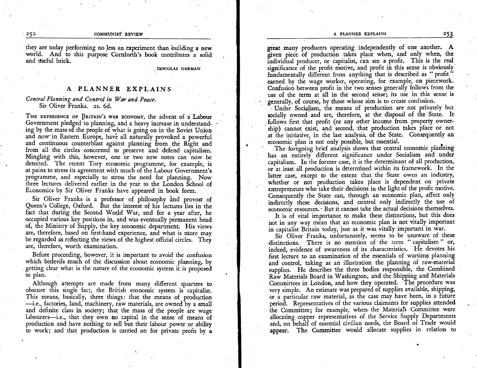#### A PLANNER EXPLAINS 253

#### 252 COMMUNIST REVIEW

they are today performing no less an experiment than building a new world. And to this purpose Cornforth's book contributes a solid and useful brick.

DOUGLAS GARMAN

# A PLANNER EXPLAINS

Central Planning and Control in War and Peace. Sir Oliver Franks. zs. 6d.

THE EXPERIENCE OF BRITAIN'S WAR ECONOMY, the advent of a Labour Government pledged to planning, and a heavy increase in understanding by the mass of the people of what is going on in the Soviet Union and now in Eastern Europe, have all naturally provoked a powerful and continuous counterblast against planning from the Right and from all the circles concerned to preserve and defend capitalism. Mingling with this, however, one or two new notes can now be detected. The recent Tory economic programme, for example, is at pains to stress its agreement with much of the Labour Government's programme, and especially to stress the need for planning. Now three lectures delivered earlier in the year to the London School of Economics by Sir Oliver Franks have appeared in book form.

Sir Oliver Franks is a professor of philosophy and provost of Queen's College, Oxford. But the interest of his lectures lies in the fact that during the Second World War, and for a year after, he occupied various key positions in, and was eventually permanent head of, the Ministry of Supply, the key economic department. His views are, therefore, based on fitst-hand experience, and what is niore may be regarded as reflecting the views of the highest official circles. They are, therefore, worth examination.

Before proceeding, however, it is important to avoid the confusion which bedevils much of the discussion about economic planning, by getting clear what is the nature of the economic system it is proposed to plan.

Although attempts are made from many different quarters to obscure this single fact, the British economic system is capitalist. This means, basically, three things: that the means of production -i.e., factories, land, machinery, raw materials, are owned by a small and definite class in society; that the mass of the people are wage labourers-i.e., that they own no capital in the sense of means of production and have nothing to sell but their labour power or ability to work; and that production is carried on for private profit by a great many producers operating independently of one another. A given piece of production takes place when, and only when, the individual producer, or capitalist, can see a profit. This is the real significance of the profit motive, and profit in this sense is obviously fundamentally different from anything that is described as " profit" earned by the wage worker, operating, for example, on piecework. Confusion between profit in the two senses generally follows from the use of the term at all in the second sense; its use in this sense is generally, of course, by those whose aim is to create confusion.

'Under Socialism, the means of production are not privately but I Under Socialism, the means of production are not privately but follows first that profit (or any other income from property owner-<br>'ship) cannot exist, and second, that production takes place or not at the initiative, in the last analysis, of the State. Consequently an economic plan is not only possible, but essential.

The foregoing brief analysis shows that central economic planning has an entirely different significance under Socialism and under capitalism. In the former case, it is the determinant of all production, or at least all production is determined within its framework. In the latter case, except to the extent that the State owns an industry, whether or not production takes place is dependent on private cntrepreneurs who take their decisions in the light of the profit motive. Consequently the State can, through an economic plan, affect only indirectly these decisions, and control only indirectly the use of economic resources. But it cannot take the actual decisions themselves.

It is of vital importance to make these distinctions, but this does not in any way mean that an economic plan is not vitally important in capitalist Britain today, just as it was vitally important in war.

Sir Oliver Franks, unfortunately, seems to be unaware of these distinctions. There is no mention of the term " capitalism " or, indeed, evidence of awareness of its characteristics. He devotes his first lecture to an examination of the essentials of wartimg planning and control, taking as an illustration the planning of raw-material supplies. He describes the three bodies responsible, the Combined Raw Materials Board in Washington, and the Shipping and Materials Committees in London, and how they operated. The procedure was very simple. An estimate was prepared of supplies available, shipping, or a particular raw material, as the case may have been, in a future period. Representatives of the various claimants for supplies attended ihe Commiitee; for example, when the Materials Committee were allocating copper represeniatives of the Service Supply Departments and, on behalf of essential civilian needs, the Board of Trade would appcar; The Committee would allocate supplies in relation to

'a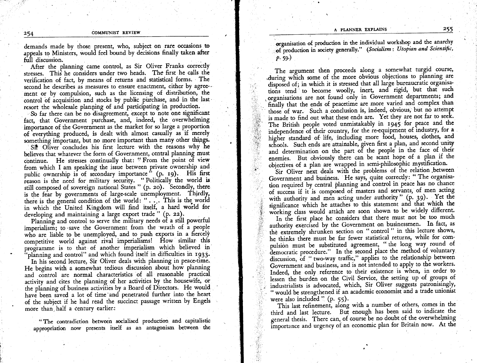demands made by those present, who, subject on rare occasions to appeals to Ministers, would feel bound by decisions finally taken after full discussion.

After the planning came control, as Sir Oliver Franks correctly stresses. This he considers under two heads. The first he calls the verification of fact, by means of returns and statistical forms. The second he describes as measures to ensure enactment, either by agreement or by compulsion, such as the licensing of distribution, the control of acquisition and stocks by public purchase, and in the last resort the wholesale planning of and participating in production.

So far there can be no disagreement, except to note one significant fact, that Government purchase, and, indeed, the overwhelming importance of the Government as the market for so large a proportion of everything produced, is dealt with almost casually as if merely something important, but no more important than many other things. Sit Oliver concludes his first lecture with the reasons why he believes that whatever the form of Government, central planning must continue. He stresses continually that: "From the point of view from which I am speaking the issue between private ownership and public ownership is of secondary importance<sup>5</sup> (p. 19). His first reason is the need for military security. "Politically the world is still composed of sovereign national States " (p. 20). Secondly, there is the fear by governments of large-scale unemployment. Thirdly, there is the general condition of the world: "... This is the world in which the United Kingdom will find itself, a hard world for developing and maintaining a large export trade " (p. 22).

Planning and control to serve the military needs of a still powerful imperialism; to save the Government from the wrath of a people who are liable to be unemployed, and to push exports in a fiercely competitive world against rival imperialisms! How similar this programme is to that of another imperialism which believed in 'planning and control" and which found itself in difficulties in 1933.

In his second lecture, Sir Oliver deals with planning in peace-time. He begins with a somewhat tedious discussion about how planning and control are normal characteristics of all reasonable practical activity and cites the planning of her activities by the housewife, or the planning of business activities by a Board of Directors. He would have been saved a lot of time and penetrated further into the heart of the subject if he had read the succinct passage written by Engels more than half a century earlier:

"The contradiction between socialised production and capitalistic appropriation now presents itself as an antagonism between the

organisation of production in the individual workshop and the anarchy of production in society generally." (Socialism: Utopian and Scientific,  $p.59)$ 

The argument then proceeds along a somewhat turgid course, during which some of the more obvious objections to planning are disposed of; in which it is stressed that all large bureaucratic organisations tend to become woolly, inert, and rigid, but that such organisations are not found only in Government departments; and finally that the ends of peacetime are more varied and complex than those of war. Such a conclusion is, indeed, obvious, but no attempt is made to find out what these ends are. Yet they are not far to seek. The British people voted unmistakably in 1945 for peace and the independence of their country, for the re-equipment of industry, for a higher standard of life, including more food, houses, clothes, and schools. Such ends are attainable, given first a plan, and second unity and determination on the part of the people in the face of their enemies. But obviously there can be scant hope of a plan if the objectives of a plan are wrapped in semi-philosophic mystification.

Sir Oliver next deals with the problems of the relation between Government and business. He says, quite correctly: "The organisation required by central planning and control in peace has no chance of success if it is composed of masters and servants, of men acting with authority and men acting under authority" (p. 39). Yet the significance which he attaches to this statement and that which the working class would attach are soon shown to be widely different.

In the first place he considers that there must not be too much authority exercised by the Government on businessmen. In fact, as the extremely shrunken section on "control" in this lecture shows, he thinks there must be far fewer statistical returns, while for compulsion must be substituted agreement, "the long way round of democratic procedure." In the second place the method of voluntary discussion, of "two-way traffic," applies to the relationship between Government and business, and is not intended to apply to the workers. Indeed, the only reference to their existence is when, in order to lessen the burden on the Civil Service, the setting up of groups of industrialists is advocated, which, Sir Oliver suggests patronisingly, " would be strengthened if an academic economist and a trade unionist were also included " $(p. 55)$ .

This last refinement, along with a number of others, comes in the third and last lecture. But enough has been said to indicate the general thesis. There can, of course be no doubt of the overwhelming importance and urgency of an economic plan for Britain now. At the